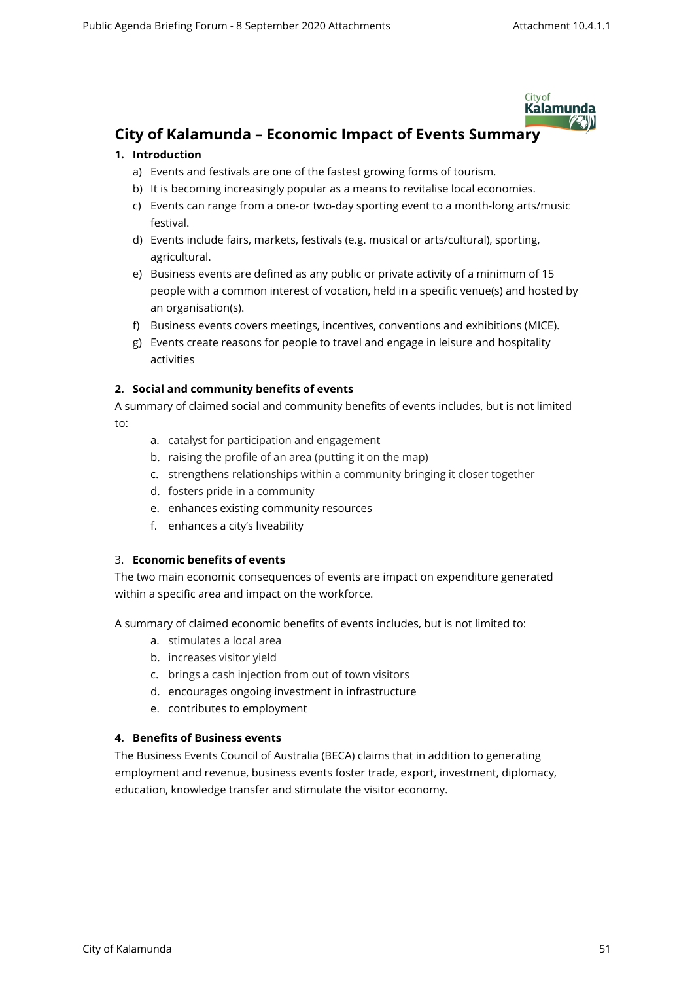

# **City of Kalamunda – Economic Impact of Events Summary**

## **1. Introduction**

- a) Events and festivals are one of the fastest growing forms of tourism.
- b) It is becoming increasingly popular as a means to revitalise local economies.
- c) Events can range from a one-or two-day sporting event to a month-long arts/music festival.
- d) Events include fairs, markets, festivals (e.g. musical or arts/cultural), sporting, agricultural.
- e) Business events are defined as any public or private activity of a minimum of 15 people with a common interest of vocation, held in a specific venue(s) and hosted by an organisation(s).
- f) Business events covers meetings, incentives, conventions and exhibitions (MICE).
- g) Events create reasons for people to travel and engage in leisure and hospitality activities

## **2. Social and community benefits of events**

- A summary of claimed social and community benefits of events includes, but is not limited to:
	- a. catalyst for participation and engagement
	- b. raising the profile of an area (putting it on the map)
	- c. strengthens relationships within a community bringing it closer together
	- d. fosters pride in a community
	- e. enhances existing community resources
	- f. enhances a city's liveability

### 3. **Economic benefits of events**

The two main economic consequences of events are impact on expenditure generated within a specific area and impact on the workforce.

A summary of claimed economic benefits of events includes, but is not limited to:

- a. stimulates a local area
- b. increases visitor yield
- c. brings a cash injection from out of town visitors
- d. encourages ongoing investment in infrastructure
- e. contributes to employment

# **4. Benefits of Business events**

The Business Events Council of Australia (BECA) claims that in addition to generating employment and revenue, business events foster trade, export, investment, diplomacy, education, knowledge transfer and stimulate the visitor economy.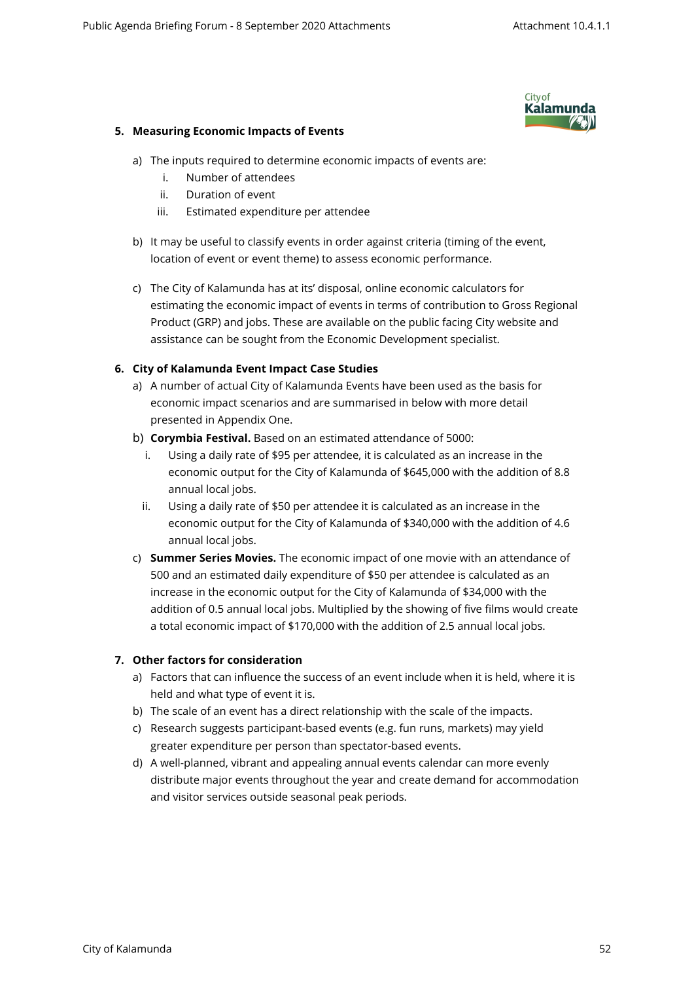

## **5. Measuring Economic Impacts of Events**

- a) The inputs required to determine economic impacts of events are:
	- i. Number of attendees
	- ii. Duration of event
	- iii. Estimated expenditure per attendee
- b) It may be useful to classify events in order against criteria (timing of the event, location of event or event theme) to assess economic performance.
- c) The City of Kalamunda has at its' disposal, online economic calculators for estimating the economic impact of events in terms of contribution to Gross Regional Product (GRP) and jobs. These are available on the public facing City website and assistance can be sought from the Economic Development specialist.

# **6. City of Kalamunda Event Impact Case Studies**

- a) A number of actual City of Kalamunda Events have been used as the basis for economic impact scenarios and are summarised in below with more detail presented in Appendix One.
- b) **Corymbia Festival.** Based on an estimated attendance of 5000:
	- i. Using a daily rate of \$95 per attendee, it is calculated as an increase in the economic output for the City of Kalamunda of \$645,000 with the addition of 8.8 annual local jobs.
	- ii. Using a daily rate of \$50 per attendee it is calculated as an increase in the economic output for the City of Kalamunda of \$340,000 with the addition of 4.6 annual local jobs.
- c) **Summer Series Movies.** The economic impact of one movie with an attendance of 500 and an estimated daily expenditure of \$50 per attendee is calculated as an increase in the economic output for the City of Kalamunda of \$34,000 with the addition of 0.5 annual local jobs. Multiplied by the showing of five films would create a total economic impact of \$170,000 with the addition of 2.5 annual local jobs.

# **7. Other factors for consideration**

- a) Factors that can influence the success of an event include when it is held, where it is held and what type of event it is.
- b) The scale of an event has a direct relationship with the scale of the impacts.
- c) Research suggests participant-based events (e.g. fun runs, markets) may yield greater expenditure per person than spectator-based events.
- d) A well-planned, vibrant and appealing annual events calendar can more evenly distribute major events throughout the year and create demand for accommodation and visitor services outside seasonal peak periods.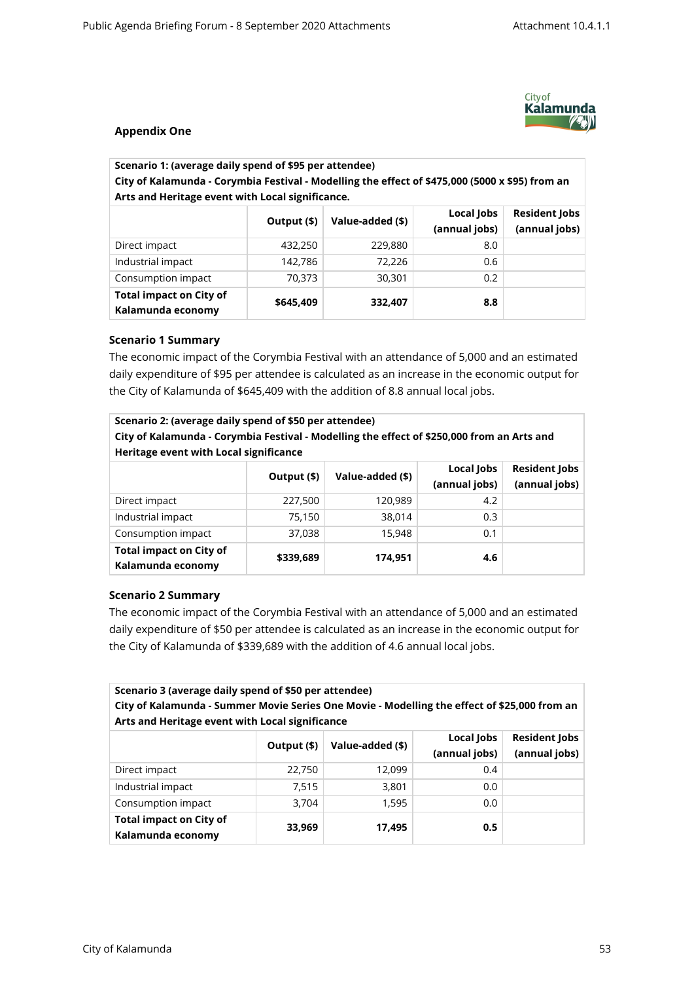

## **Appendix One**

| Scenario 1: (average daily spend of \$95 per attendee)                                                                                              |             |                  |                             |                                       |
|-----------------------------------------------------------------------------------------------------------------------------------------------------|-------------|------------------|-----------------------------|---------------------------------------|
| City of Kalamunda - Corymbia Festival - Modelling the effect of \$475,000 (5000 x \$95) from an<br>Arts and Heritage event with Local significance. |             |                  |                             |                                       |
|                                                                                                                                                     | Output (\$) | Value-added (\$) | Local lobs<br>(annual jobs) | <b>Resident lobs</b><br>(annual jobs) |

|                                                     |           |         | (annual jobs) | (annual jobs) |
|-----------------------------------------------------|-----------|---------|---------------|---------------|
| Direct impact                                       | 432,250   | 229,880 | 8.0           |               |
| Industrial impact                                   | 142,786   | 72,226  | 0.6           |               |
| Consumption impact                                  | 70.373    | 30,301  | 0.2           |               |
| <b>Total impact on City of</b><br>Kalamunda economy | \$645,409 | 332,407 | 8.8           |               |

### **Scenario 1 Summary**

The economic impact of the Corymbia Festival with an attendance of 5,000 and an estimated daily expenditure of \$95 per attendee is calculated as an increase in the economic output for the City of Kalamunda of \$645,409 with the addition of 8.8 annual local jobs.

| Scenario 2: (average daily spend of \$50 per attendee)<br>City of Kalamunda - Corymbia Festival - Modelling the effect of \$250,000 from an Arts and<br>Heritage event with Local significance |             |                  |                             |                                       |
|------------------------------------------------------------------------------------------------------------------------------------------------------------------------------------------------|-------------|------------------|-----------------------------|---------------------------------------|
|                                                                                                                                                                                                | Output (\$) | Value-added (\$) | Local Jobs<br>(annual jobs) | <b>Resident Jobs</b><br>(annual jobs) |
| Direct impact                                                                                                                                                                                  | 227,500     | 120,989          | 4.2                         |                                       |
| Industrial impact                                                                                                                                                                              | 75,150      | 38,014           | 0.3                         |                                       |
| Consumption impact                                                                                                                                                                             | 37,038      | 15,948           | 0.1                         |                                       |
| <b>Total impact on City of</b><br>Kalamunda economy                                                                                                                                            | \$339,689   | 174.951          | 4.6                         |                                       |

### **Scenario 2 Summary**

The economic impact of the Corymbia Festival with an attendance of 5,000 and an estimated daily expenditure of \$50 per attendee is calculated as an increase in the economic output for the City of Kalamunda of \$339,689 with the addition of 4.6 annual local jobs.

| Scenario 3 (average daily spend of \$50 per attendee)<br>City of Kalamunda - Summer Movie Series One Movie - Modelling the effect of \$25,000 from an<br>Arts and Heritage event with Local significance |             |                  |                             |                                       |
|----------------------------------------------------------------------------------------------------------------------------------------------------------------------------------------------------------|-------------|------------------|-----------------------------|---------------------------------------|
|                                                                                                                                                                                                          | Output (\$) | Value-added (\$) | Local Jobs<br>(annual jobs) | <b>Resident Jobs</b><br>(annual jobs) |
| Direct impact                                                                                                                                                                                            | 22,750      | 12,099           | 0.4                         |                                       |
| Industrial impact                                                                                                                                                                                        | 7,515       | 3,801            | 0.0                         |                                       |
| Consumption impact                                                                                                                                                                                       | 3,704       | 1,595            | 0.0                         |                                       |
| <b>Total impact on City of</b><br>Kalamunda economy                                                                                                                                                      | 33,969      | 17,495           | 0.5                         |                                       |